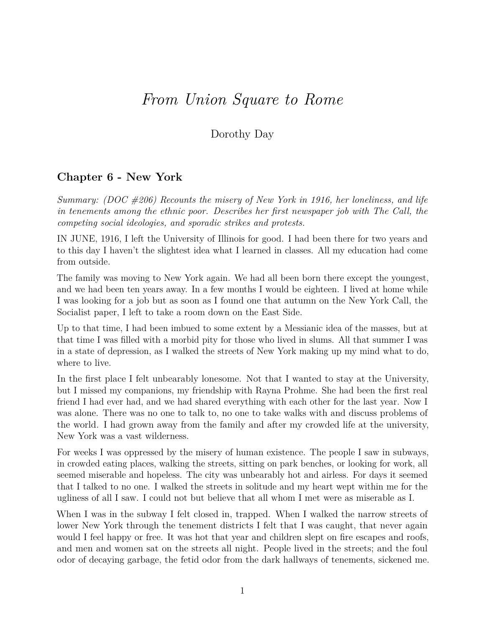## *From Union Square to Rome*

## Dorothy Day

## **Chapter 6 - New York**

*Summary: (DOC #206) Recounts the misery of New York in 1916, her loneliness, and life in tenements among the ethnic poor. Describes her first newspaper job with The Call, the competing social ideologies, and sporadic strikes and protests.*

IN JUNE, 1916, I left the University of Illinois for good. I had been there for two years and to this day I haven't the slightest idea what I learned in classes. All my education had come from outside.

The family was moving to New York again. We had all been born there except the youngest, and we had been ten years away. In a few months I would be eighteen. I lived at home while I was looking for a job but as soon as I found one that autumn on the New York Call, the Socialist paper, I left to take a room down on the East Side.

Up to that time, I had been imbued to some extent by a Messianic idea of the masses, but at that time I was filled with a morbid pity for those who lived in slums. All that summer I was in a state of depression, as I walked the streets of New York making up my mind what to do, where to live.

In the first place I felt unbearably lonesome. Not that I wanted to stay at the University, but I missed my companions, my friendship with Rayna Prohme. She had been the first real friend I had ever had, and we had shared everything with each other for the last year. Now I was alone. There was no one to talk to, no one to take walks with and discuss problems of the world. I had grown away from the family and after my crowded life at the university, New York was a vast wilderness.

For weeks I was oppressed by the misery of human existence. The people I saw in subways, in crowded eating places, walking the streets, sitting on park benches, or looking for work, all seemed miserable and hopeless. The city was unbearably hot and airless. For days it seemed that I talked to no one. I walked the streets in solitude and my heart wept within me for the ugliness of all I saw. I could not but believe that all whom I met were as miserable as I.

When I was in the subway I felt closed in, trapped. When I walked the narrow streets of lower New York through the tenement districts I felt that I was caught, that never again would I feel happy or free. It was hot that year and children slept on fire escapes and roofs, and men and women sat on the streets all night. People lived in the streets; and the foul odor of decaying garbage, the fetid odor from the dark hallways of tenements, sickened me.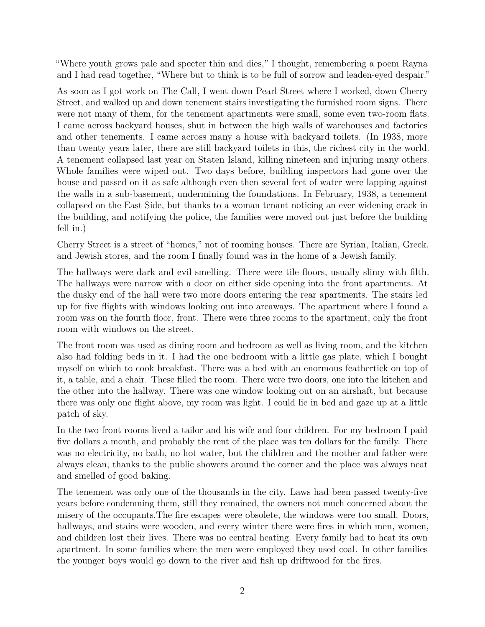"Where youth grows pale and specter thin and dies," I thought, remembering a poem Rayna and I had read together, "Where but to think is to be full of sorrow and leaden-eyed despair."

As soon as I got work on The Call, I went down Pearl Street where I worked, down Cherry Street, and walked up and down tenement stairs investigating the furnished room signs. There were not many of them, for the tenement apartments were small, some even two-room flats. I came across backyard houses, shut in between the high walls of warehouses and factories and other tenements. I came across many a house with backyard toilets. (In 1938, more than twenty years later, there are still backyard toilets in this, the richest city in the world. A tenement collapsed last year on Staten Island, killing nineteen and injuring many others. Whole families were wiped out. Two days before, building inspectors had gone over the house and passed on it as safe although even then several feet of water were lapping against the walls in a sub-basement, undermining the foundations. In February, 1938, a tenement collapsed on the East Side, but thanks to a woman tenant noticing an ever widening crack in the building, and notifying the police, the families were moved out just before the building fell in.)

Cherry Street is a street of "homes," not of rooming houses. There are Syrian, Italian, Greek, and Jewish stores, and the room I finally found was in the home of a Jewish family.

The hallways were dark and evil smelling. There were tile floors, usually slimy with filth. The hallways were narrow with a door on either side opening into the front apartments. At the dusky end of the hall were two more doors entering the rear apartments. The stairs led up for five flights with windows looking out into areaways. The apartment where I found a room was on the fourth floor, front. There were three rooms to the apartment, only the front room with windows on the street.

The front room was used as dining room and bedroom as well as living room, and the kitchen also had folding beds in it. I had the one bedroom with a little gas plate, which I bought myself on which to cook breakfast. There was a bed with an enormous feathertick on top of it, a table, and a chair. These filled the room. There were two doors, one into the kitchen and the other into the hallway. There was one window looking out on an airshaft, but because there was only one flight above, my room was light. I could lie in bed and gaze up at a little patch of sky.

In the two front rooms lived a tailor and his wife and four children. For my bedroom I paid five dollars a month, and probably the rent of the place was ten dollars for the family. There was no electricity, no bath, no hot water, but the children and the mother and father were always clean, thanks to the public showers around the corner and the place was always neat and smelled of good baking.

The tenement was only one of the thousands in the city. Laws had been passed twenty-five years before condemning them, still they remained, the owners not much concerned about the misery of the occupants.The fire escapes were obsolete, the windows were too small. Doors, hallways, and stairs were wooden, and every winter there were fires in which men, women, and children lost their lives. There was no central heating. Every family had to heat its own apartment. In some families where the men were employed they used coal. In other families the younger boys would go down to the river and fish up driftwood for the fires.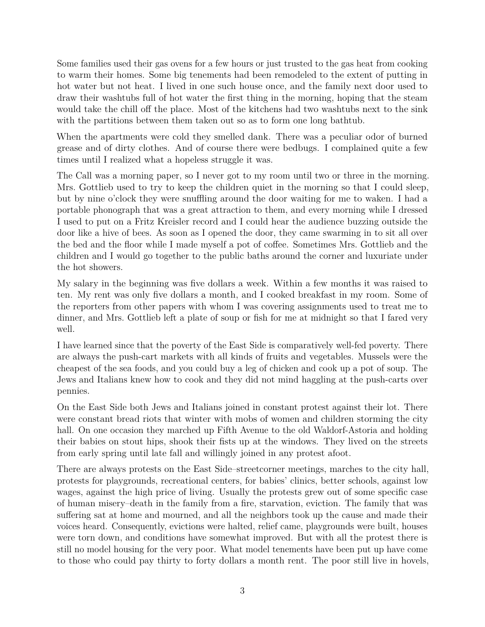Some families used their gas ovens for a few hours or just trusted to the gas heat from cooking to warm their homes. Some big tenements had been remodeled to the extent of putting in hot water but not heat. I lived in one such house once, and the family next door used to draw their washtubs full of hot water the first thing in the morning, hoping that the steam would take the chill off the place. Most of the kitchens had two washtubs next to the sink with the partitions between them taken out so as to form one long bathtub.

When the apartments were cold they smelled dank. There was a peculiar odor of burned grease and of dirty clothes. And of course there were bedbugs. I complained quite a few times until I realized what a hopeless struggle it was.

The Call was a morning paper, so I never got to my room until two or three in the morning. Mrs. Gottlieb used to try to keep the children quiet in the morning so that I could sleep, but by nine o'clock they were snuffling around the door waiting for me to waken. I had a portable phonograph that was a great attraction to them, and every morning while I dressed I used to put on a Fritz Kreisler record and I could hear the audience buzzing outside the door like a hive of bees. As soon as I opened the door, they came swarming in to sit all over the bed and the floor while I made myself a pot of coffee. Sometimes Mrs. Gottlieb and the children and I would go together to the public baths around the corner and luxuriate under the hot showers.

My salary in the beginning was five dollars a week. Within a few months it was raised to ten. My rent was only five dollars a month, and I cooked breakfast in my room. Some of the reporters from other papers with whom I was covering assignments used to treat me to dinner, and Mrs. Gottlieb left a plate of soup or fish for me at midnight so that I fared very well.

I have learned since that the poverty of the East Side is comparatively well-fed poverty. There are always the push-cart markets with all kinds of fruits and vegetables. Mussels were the cheapest of the sea foods, and you could buy a leg of chicken and cook up a pot of soup. The Jews and Italians knew how to cook and they did not mind haggling at the push-carts over pennies.

On the East Side both Jews and Italians joined in constant protest against their lot. There were constant bread riots that winter with mobs of women and children storming the city hall. On one occasion they marched up Fifth Avenue to the old Waldorf-Astoria and holding their babies on stout hips, shook their fists up at the windows. They lived on the streets from early spring until late fall and willingly joined in any protest afoot.

There are always protests on the East Side–streetcorner meetings, marches to the city hall, protests for playgrounds, recreational centers, for babies' clinics, better schools, against low wages, against the high price of living. Usually the protests grew out of some specific case of human misery–death in the family from a fire, starvation, eviction. The family that was suffering sat at home and mourned, and all the neighbors took up the cause and made their voices heard. Consequently, evictions were halted, relief came, playgrounds were built, houses were torn down, and conditions have somewhat improved. But with all the protest there is still no model housing for the very poor. What model tenements have been put up have come to those who could pay thirty to forty dollars a month rent. The poor still live in hovels,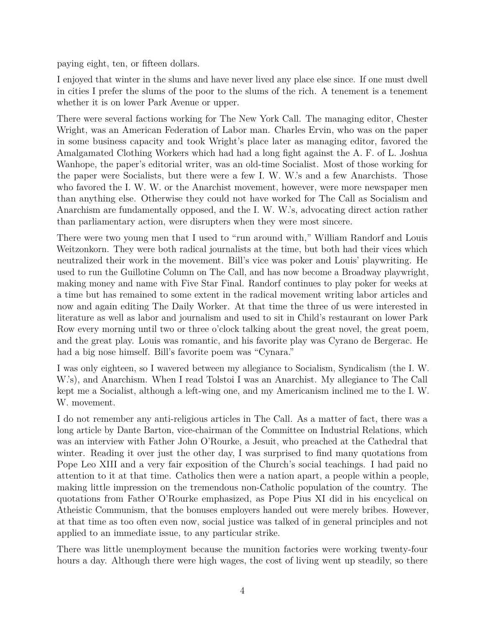paying eight, ten, or fifteen dollars.

I enjoyed that winter in the slums and have never lived any place else since. If one must dwell in cities I prefer the slums of the poor to the slums of the rich. A tenement is a tenement whether it is on lower Park Avenue or upper.

There were several factions working for The New York Call. The managing editor, Chester Wright, was an American Federation of Labor man. Charles Ervin, who was on the paper in some business capacity and took Wright's place later as managing editor, favored the Amalgamated Clothing Workers which had had a long fight against the A. F. of L. Joshua Wanhope, the paper's editorial writer, was an old-time Socialist. Most of those working for the paper were Socialists, but there were a few I. W. W.'s and a few Anarchists. Those who favored the I. W. W. or the Anarchist movement, however, were more newspaper men than anything else. Otherwise they could not have worked for The Call as Socialism and Anarchism are fundamentally opposed, and the I. W. W.'s, advocating direct action rather than parliamentary action, were disrupters when they were most sincere.

There were two young men that I used to "run around with," William Randorf and Louis Weitzonkorn. They were both radical journalists at the time, but both had their vices which neutralized their work in the movement. Bill's vice was poker and Louis' playwriting. He used to run the Guillotine Column on The Call, and has now become a Broadway playwright, making money and name with Five Star Final. Randorf continues to play poker for weeks at a time but has remained to some extent in the radical movement writing labor articles and now and again editing The Daily Worker. At that time the three of us were interested in literature as well as labor and journalism and used to sit in Child's restaurant on lower Park Row every morning until two or three o'clock talking about the great novel, the great poem, and the great play. Louis was romantic, and his favorite play was Cyrano de Bergerac. He had a big nose himself. Bill's favorite poem was "Cynara."

I was only eighteen, so I wavered between my allegiance to Socialism, Syndicalism (the I. W. W.'s), and Anarchism. When I read Tolstoi I was an Anarchist. My allegiance to The Call kept me a Socialist, although a left-wing one, and my Americanism inclined me to the I. W. W. movement.

I do not remember any anti-religious articles in The Call. As a matter of fact, there was a long article by Dante Barton, vice-chairman of the Committee on Industrial Relations, which was an interview with Father John O'Rourke, a Jesuit, who preached at the Cathedral that winter. Reading it over just the other day, I was surprised to find many quotations from Pope Leo XIII and a very fair exposition of the Church's social teachings. I had paid no attention to it at that time. Catholics then were a nation apart, a people within a people, making little impression on the tremendous non-Catholic population of the country. The quotations from Father O'Rourke emphasized, as Pope Pius XI did in his encyclical on Atheistic Communism, that the bonuses employers handed out were merely bribes. However, at that time as too often even now, social justice was talked of in general principles and not applied to an immediate issue, to any particular strike.

There was little unemployment because the munition factories were working twenty-four hours a day. Although there were high wages, the cost of living went up steadily, so there